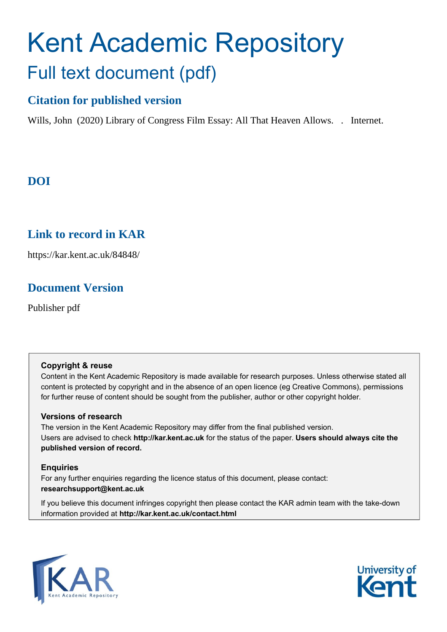# Kent Academic Repository Full text document (pdf)

## **Citation for published version**

Wills, John (2020) Library of Congress Film Essay: All That Heaven Allows. . Internet.

## **DOI**

## **Link to record in KAR**

https://kar.kent.ac.uk/84848/

## **Document Version**

Publisher pdf

#### **Copyright & reuse**

Content in the Kent Academic Repository is made available for research purposes. Unless otherwise stated all content is protected by copyright and in the absence of an open licence (eg Creative Commons), permissions for further reuse of content should be sought from the publisher, author or other copyright holder.

#### **Versions of research**

The version in the Kent Academic Repository may differ from the final published version. Users are advised to check **http://kar.kent.ac.uk** for the status of the paper. **Users should always cite the published version of record.**

#### **Enquiries**

For any further enquiries regarding the licence status of this document, please contact: **researchsupport@kent.ac.uk**

If you believe this document infringes copyright then please contact the KAR admin team with the take-down information provided at **http://kar.kent.ac.uk/contact.html**



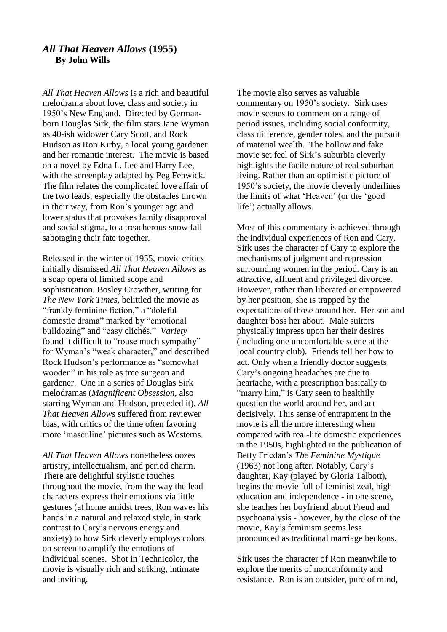### *All That Heaven Allows* **(1955) By John Wills**

*All That Heaven Allows* is a rich and beautiful melodrama about love, class and society in 1950's New England. Directed by Germanborn Douglas Sirk, the film stars Jane Wyman as 40-ish widower Cary Scott, and Rock Hudson as Ron Kirby, a local young gardener and her romantic interest. The movie is based on a novel by Edna L. Lee and Harry Lee, with the screenplay adapted by Peg Fenwick. The film relates the complicated love affair of the two leads, especially the obstacles thrown in their way, from Ron's younger age and lower status that provokes family disapproval and social stigma, to a treacherous snow fall sabotaging their fate together.

Released in the winter of 1955, movie critics initially dismissed *All That Heaven Allows* as a soap opera of limited scope and sophistication. Bosley Crowther, writing for *The New York Times,* belittled the movie as "frankly feminine fiction," a "doleful domestic drama" marked by "emotional bulldozing" and "easy clichés." *Variety* found it difficult to "rouse much sympathy" for Wyman's "weak character," and described Rock Hudson's performance as "somewhat wooden" in his role as tree surgeon and gardener. One in a series of Douglas Sirk melodramas (*Magnificent Obsession*, also starring Wyman and Hudson, preceded it), *All That Heaven Allows* suffered from reviewer bias, with critics of the time often favoring more 'masculine' pictures such as Westerns.

*All That Heaven Allows* nonetheless oozes artistry, intellectualism, and period charm. There are delightful stylistic touches throughout the movie, from the way the lead characters express their emotions via little gestures (at home amidst trees, Ron waves his hands in a natural and relaxed style, in stark contrast to Cary's nervous energy and anxiety) to how Sirk cleverly employs colors on screen to amplify the emotions of individual scenes. Shot in Technicolor, the movie is visually rich and striking, intimate and inviting.

The movie also serves as valuable commentary on 1950's society. Sirk uses movie scenes to comment on a range of period issues, including social conformity, class difference, gender roles, and the pursuit of material wealth. The hollow and fake movie set feel of Sirk's suburbia cleverly highlights the facile nature of real suburban living. Rather than an optimistic picture of 1950's society, the movie cleverly underlines the limits of what 'Heaven' (or the 'good life') actually allows.

Most of this commentary is achieved through the individual experiences of Ron and Cary. Sirk uses the character of Cary to explore the mechanisms of judgment and repression surrounding women in the period. Cary is an attractive, affluent and privileged divorcee. However, rather than liberated or empowered by her position, she is trapped by the expectations of those around her. Her son and daughter boss her about. Male suitors physically impress upon her their desires (including one uncomfortable scene at the local country club). Friends tell her how to act. Only when a friendly doctor suggests Cary's ongoing headaches are due to heartache, with a prescription basically to "marry him," is Cary seen to healthily question the world around her, and act decisively. This sense of entrapment in the movie is all the more interesting when compared with real-life domestic experiences in the 1950s, highlighted in the publication of Betty Friedan's *The Feminine Mystique* (1963) not long after. Notably, Cary's daughter, Kay (played by Gloria Talbott), begins the movie full of feminist zeal, high education and independence - in one scene, she teaches her boyfriend about Freud and psychoanalysis - however, by the close of the movie, Kay's feminism seems less pronounced as traditional marriage beckons.

Sirk uses the character of Ron meanwhile to explore the merits of nonconformity and resistance. Ron is an outsider, pure of mind,